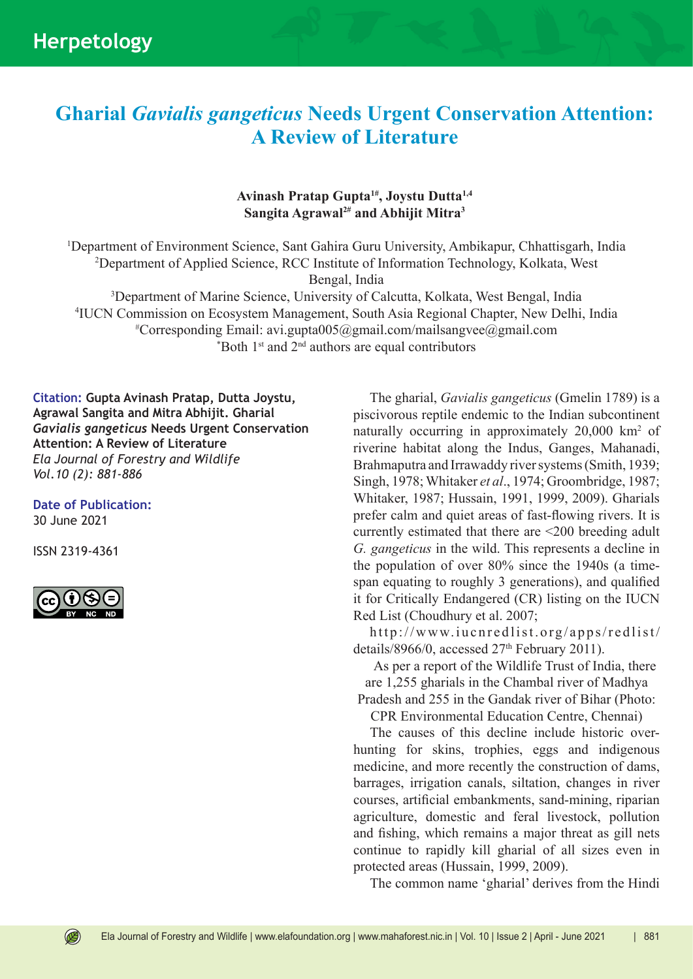## **Gharial** *Gavialis gangeticus* **Needs Urgent Conservation Attention: A Review of Literature**

## **Avinash Pratap Gupta1#, Joystu Dutta1,4 Sangita Agrawal2# and Abhijit Mitra3**

 Department of Environment Science, Sant Gahira Guru University, Ambikapur, Chhattisgarh, India Department of Applied Science, RCC Institute of Information Technology, Kolkata, West Bengal, India Department of Marine Science, University of Calcutta, Kolkata, West Bengal, India IUCN Commission on Ecosystem Management, South Asia Regional Chapter, New Delhi, India # Corresponding Email: avi.gupta005@gmail.com/mailsangvee@gmail.com

 $*$ Both 1<sup>st</sup> and 2<sup>nd</sup> authors are equal contributors

**Citation: Gupta Avinash Pratap, Dutta Joystu, Agrawal Sangita and Mitra Abhijit. Gharial**  *Gavialis gangeticus* **Needs Urgent Conservation Attention: A Review of Literature** *Ela Journal of Forestry and Wildlife Vol.10 (2): 881-886*

**Date of Publication:**

30 June 2021

ISSN 2319-4361



 $\circledR$ 

The gharial, *Gavialis gangeticus* (Gmelin 1789) is a piscivorous reptile endemic to the Indian subcontinent naturally occurring in approximately 20,000 km<sup>2</sup> of riverine habitat along the Indus, Ganges, Mahanadi, Brahmaputra and Irrawaddy river systems (Smith, 1939; Singh, 1978; Whitaker *et al*., 1974; Groombridge, 1987; Whitaker, 1987; Hussain, 1991, 1999, 2009). Gharials prefer calm and quiet areas of fast-flowing rivers. It is currently estimated that there are <200 breeding adult *G. gangeticus* in the wild. This represents a decline in the population of over 80% since the 1940s (a timespan equating to roughly 3 generations), and qualified it for Critically Endangered (CR) listing on the IUCN Red List (Choudhury et al. 2007;

http://www.iucnredlist.org/apps/redlist/ details/8966/0, accessed  $27<sup>th</sup>$  February 2011).

As per a report of the Wildlife Trust of India, there are 1,255 gharials in the Chambal river of Madhya Pradesh and 255 in the Gandak river of Bihar (Photo:

CPR Environmental Education Centre, Chennai)

The causes of this decline include historic overhunting for skins, trophies, eggs and indigenous medicine, and more recently the construction of dams, barrages, irrigation canals, siltation, changes in river courses, artificial embankments, sand-mining, riparian agriculture, domestic and feral livestock, pollution and fishing, which remains a major threat as gill nets continue to rapidly kill gharial of all sizes even in protected areas (Hussain, 1999, 2009).

The common name 'gharial' derives from the Hindi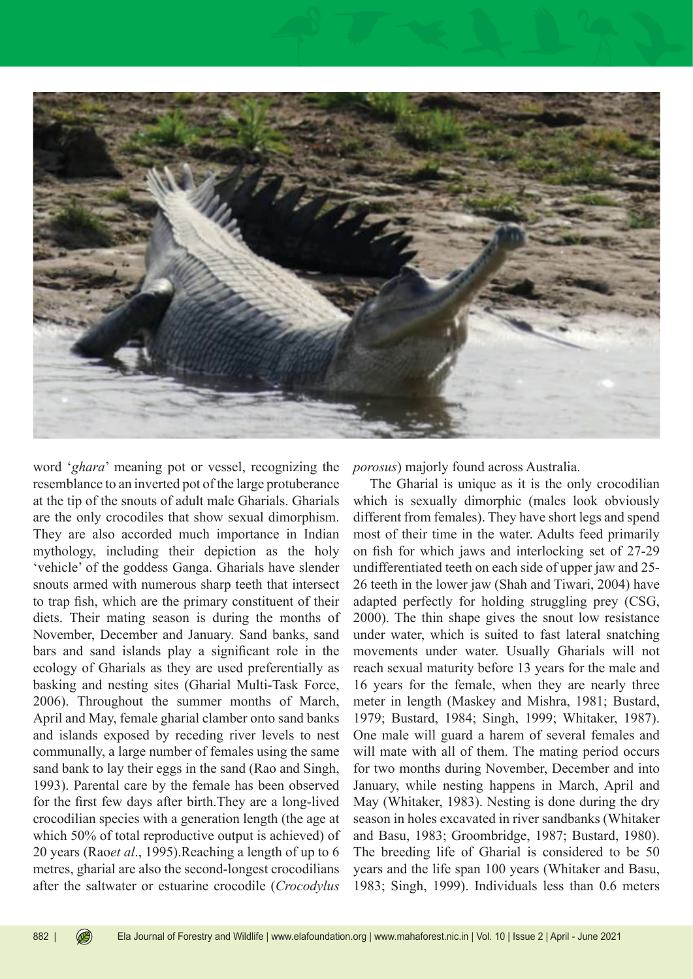

word '*ghara*' meaning pot or vessel, recognizing the resemblance to an inverted pot of the large protuberance at the tip of the snouts of adult male Gharials. Gharials are the only crocodiles that show sexual dimorphism. They are also accorded much importance in Indian mythology, including their depiction as the holy 'vehicle' of the goddess Ganga. Gharials have slender snouts armed with numerous sharp teeth that intersect to trap fish, which are the primary constituent of their diets. Their mating season is during the months of November, December and January. Sand banks, sand bars and sand islands play a significant role in the ecology of Gharials as they are used preferentially as basking and nesting sites (Gharial Multi-Task Force, 2006). Throughout the summer months of March, April and May, female gharial clamber onto sand banks and islands exposed by receding river levels to nest communally, a large number of females using the same sand bank to lay their eggs in the sand (Rao and Singh, 1993). Parental care by the female has been observed for the first few days after birth.They are a long-lived crocodilian species with a generation length (the age at which 50% of total reproductive output is achieved) of 20 years (Rao*et al*., 1995).Reaching a length of up to 6 metres, gharial are also the second-longest crocodilians after the saltwater or estuarine crocodile (*Crocodylus* 

*porosus*) majorly found across Australia.

The Gharial is unique as it is the only crocodilian which is sexually dimorphic (males look obviously different from females). They have short legs and spend most of their time in the water. Adults feed primarily on fish for which jaws and interlocking set of 27-29 undifferentiated teeth on each side of upper jaw and 25- 26 teeth in the lower jaw (Shah and Tiwari, 2004) have adapted perfectly for holding struggling prey (CSG, 2000). The thin shape gives the snout low resistance under water, which is suited to fast lateral snatching movements under water. Usually Gharials will not reach sexual maturity before 13 years for the male and 16 years for the female, when they are nearly three meter in length (Maskey and Mishra, 1981; Bustard, 1979; Bustard, 1984; Singh, 1999; Whitaker, 1987). One male will guard a harem of several females and will mate with all of them. The mating period occurs for two months during November, December and into January, while nesting happens in March, April and May (Whitaker, 1983). Nesting is done during the dry season in holes excavated in river sandbanks (Whitaker and Basu, 1983; Groombridge, 1987; Bustard, 1980). The breeding life of Gharial is considered to be 50 years and the life span 100 years (Whitaker and Basu, 1983; Singh, 1999). Individuals less than 0.6 meters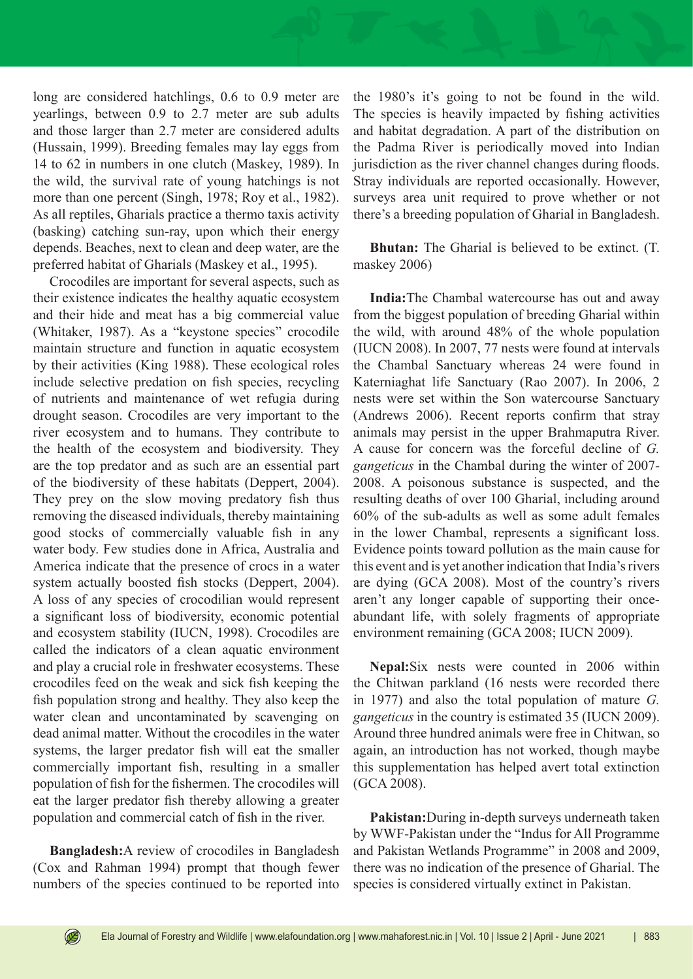long are considered hatchlings, 0.6 to 0.9 meter are yearlings, between 0.9 to 2.7 meter are sub adults and those larger than 2.7 meter are considered adults (Hussain, 1999). Breeding females may lay eggs from 14 to 62 in numbers in one clutch (Maskey, 1989). In the wild, the survival rate of young hatchings is not more than one percent (Singh, 1978; Roy et al., 1982). As all reptiles, Gharials practice a thermo taxis activity (basking) catching sun-ray, upon which their energy depends. Beaches, next to clean and deep water, are the preferred habitat of Gharials (Maskey et al., 1995).

Crocodiles are important for several aspects, such as their existence indicates the healthy aquatic ecosystem and their hide and meat has a big commercial value (Whitaker, 1987). As a "keystone species" crocodile maintain structure and function in aquatic ecosystem by their activities (King 1988). These ecological roles include selective predation on fish species, recycling of nutrients and maintenance of wet refugia during drought season. Crocodiles are very important to the river ecosystem and to humans. They contribute to the health of the ecosystem and biodiversity. They are the top predator and as such are an essential part of the biodiversity of these habitats (Deppert, 2004). They prey on the slow moving predatory fish thus removing the diseased individuals, thereby maintaining good stocks of commercially valuable fish in any water body. Few studies done in Africa, Australia and America indicate that the presence of crocs in a water system actually boosted fish stocks (Deppert, 2004). A loss of any species of crocodilian would represent a significant loss of biodiversity, economic potential and ecosystem stability (IUCN, 1998). Crocodiles are called the indicators of a clean aquatic environment and play a crucial role in freshwater ecosystems. These crocodiles feed on the weak and sick fish keeping the fish population strong and healthy. They also keep the water clean and uncontaminated by scavenging on dead animal matter. Without the crocodiles in the water systems, the larger predator fish will eat the smaller commercially important fish, resulting in a smaller population of fish for the fishermen. The crocodiles will eat the larger predator fish thereby allowing a greater population and commercial catch of fish in the river.

**Bangladesh:**A review of crocodiles in Bangladesh (Cox and Rahman 1994) prompt that though fewer numbers of the species continued to be reported into

the 1980's it's going to not be found in the wild. The species is heavily impacted by fishing activities and habitat degradation. A part of the distribution on the Padma River is periodically moved into Indian jurisdiction as the river channel changes during floods. Stray individuals are reported occasionally. However, surveys area unit required to prove whether or not there's a breeding population of Gharial in Bangladesh.

**Bhutan:** The Gharial is believed to be extinct. (T. maskey 2006)

**India:**The Chambal watercourse has out and away from the biggest population of breeding Gharial within the wild, with around 48% of the whole population (IUCN 2008). In 2007, 77 nests were found at intervals the Chambal Sanctuary whereas 24 were found in Katerniaghat life Sanctuary (Rao 2007). In 2006, 2 nests were set within the Son watercourse Sanctuary (Andrews 2006). Recent reports confirm that stray animals may persist in the upper Brahmaputra River. A cause for concern was the forceful decline of *G. gangeticus* in the Chambal during the winter of 2007- 2008. A poisonous substance is suspected, and the resulting deaths of over 100 Gharial, including around 60% of the sub-adults as well as some adult females in the lower Chambal, represents a significant loss. Evidence points toward pollution as the main cause for this event and is yet another indication that India's rivers are dying (GCA 2008). Most of the country's rivers aren't any longer capable of supporting their onceabundant life, with solely fragments of appropriate environment remaining (GCA 2008; IUCN 2009).

**Nepal:**Six nests were counted in 2006 within the Chitwan parkland (16 nests were recorded there in 1977) and also the total population of mature *G. gangeticus* in the country is estimated 35 (IUCN 2009). Around three hundred animals were free in Chitwan, so again, an introduction has not worked, though maybe this supplementation has helped avert total extinction (GCA 2008).

**Pakistan:**During in-depth surveys underneath taken by WWF-Pakistan under the "Indus for All Programme and Pakistan Wetlands Programme" in 2008 and 2009, there was no indication of the presence of Gharial. The species is considered virtually extinct in Pakistan.

 $\circledR$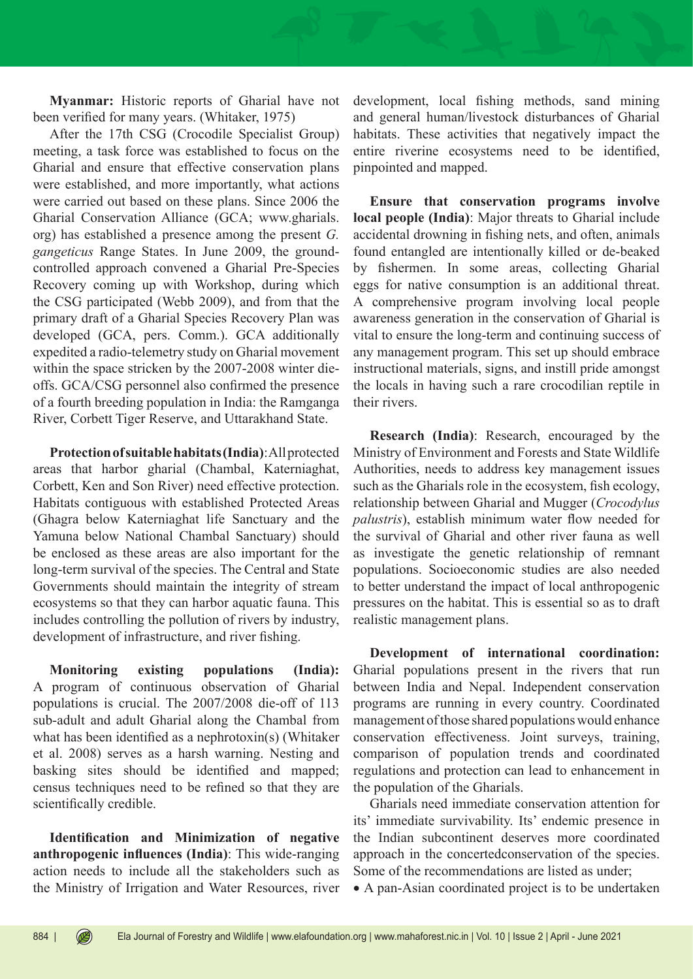**Myanmar:** Historic reports of Gharial have not been verified for many years. (Whitaker, 1975)

After the 17th CSG (Crocodile Specialist Group) meeting, a task force was established to focus on the Gharial and ensure that effective conservation plans were established, and more importantly, what actions were carried out based on these plans. Since 2006 the Gharial Conservation Alliance (GCA; www.gharials. org) has established a presence among the present *G. gangeticus* Range States. In June 2009, the groundcontrolled approach convened a Gharial Pre-Species Recovery coming up with Workshop, during which the CSG participated (Webb 2009), and from that the primary draft of a Gharial Species Recovery Plan was developed (GCA, pers. Comm.). GCA additionally expedited a radio-telemetry study on Gharial movement within the space stricken by the 2007-2008 winter dieoffs. GCA/CSG personnel also confirmed the presence of a fourth breeding population in India: the Ramganga River, Corbett Tiger Reserve, and Uttarakhand State.

**Protection of suitable habitats (India)**: All protected areas that harbor gharial (Chambal, Katerniaghat, Corbett, Ken and Son River) need effective protection. Habitats contiguous with established Protected Areas (Ghagra below Katerniaghat life Sanctuary and the Yamuna below National Chambal Sanctuary) should be enclosed as these areas are also important for the long-term survival of the species. The Central and State Governments should maintain the integrity of stream ecosystems so that they can harbor aquatic fauna. This includes controlling the pollution of rivers by industry, development of infrastructure, and river fishing.

**Monitoring existing populations (India):**  A program of continuous observation of Gharial populations is crucial. The 2007/2008 die-off of 113 sub-adult and adult Gharial along the Chambal from what has been identified as a nephrotoxin(s) (Whitaker et al. 2008) serves as a harsh warning. Nesting and basking sites should be identified and mapped; census techniques need to be refined so that they are scientifically credible.

**Identification and Minimization of negative anthropogenic influences (India)**: This wide-ranging action needs to include all the stakeholders such as the Ministry of Irrigation and Water Resources, river development, local fishing methods, sand mining and general human/livestock disturbances of Gharial habitats. These activities that negatively impact the entire riverine ecosystems need to be identified, pinpointed and mapped.

**Ensure that conservation programs involve local people (India)**: Major threats to Gharial include accidental drowning in fishing nets, and often, animals found entangled are intentionally killed or de-beaked by fishermen. In some areas, collecting Gharial eggs for native consumption is an additional threat. A comprehensive program involving local people awareness generation in the conservation of Gharial is vital to ensure the long-term and continuing success of any management program. This set up should embrace instructional materials, signs, and instill pride amongst the locals in having such a rare crocodilian reptile in their rivers.

**Research (India)**: Research, encouraged by the Ministry of Environment and Forests and State Wildlife Authorities, needs to address key management issues such as the Gharials role in the ecosystem, fish ecology, relationship between Gharial and Mugger (*Crocodylus palustris*), establish minimum water flow needed for the survival of Gharial and other river fauna as well as investigate the genetic relationship of remnant populations. Socioeconomic studies are also needed to better understand the impact of local anthropogenic pressures on the habitat. This is essential so as to draft realistic management plans.

**Development of international coordination:**  Gharial populations present in the rivers that run between India and Nepal. Independent conservation programs are running in every country. Coordinated management of those shared populations would enhance conservation effectiveness. Joint surveys, training, comparison of population trends and coordinated regulations and protection can lead to enhancement in the population of the Gharials.

Gharials need immediate conservation attention for its' immediate survivability. Its' endemic presence in the Indian subcontinent deserves more coordinated approach in the concertedconservation of the species. Some of the recommendations are listed as under;

• A pan-Asian coordinated project is to be undertaken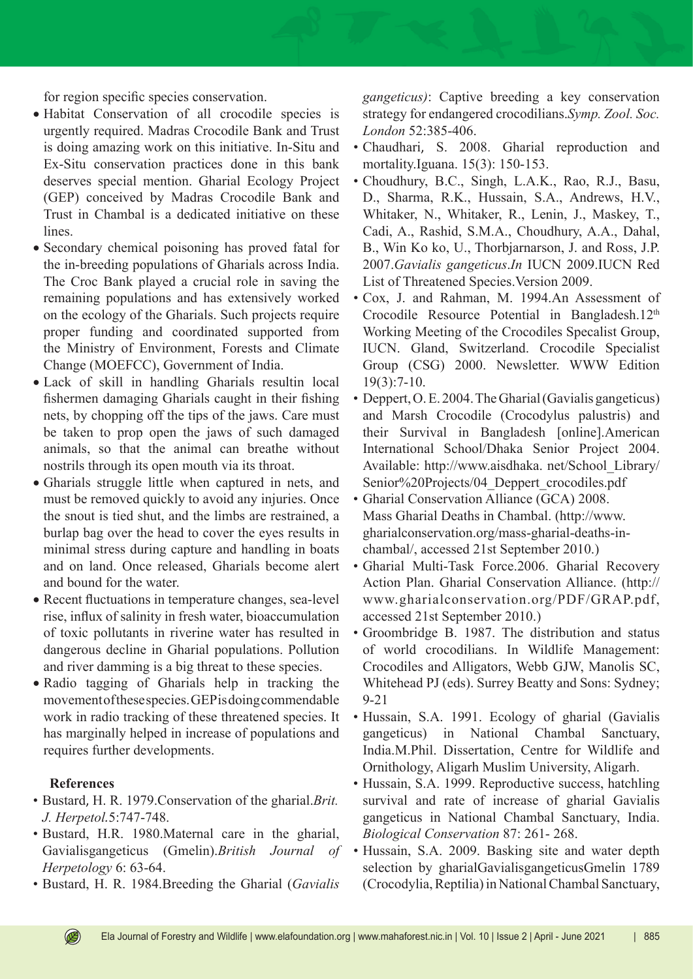for region specific species conservation.

- Habitat Conservation of all crocodile species is urgently required. Madras Crocodile Bank and Trust is doing amazing work on this initiative. In-Situ and Ex-Situ conservation practices done in this bank deserves special mention. Gharial Ecology Project (GEP) conceived by Madras Crocodile Bank and Trust in Chambal is a dedicated initiative on these lines.
- Secondary chemical poisoning has proved fatal for the in-breeding populations of Gharials across India. The Croc Bank played a crucial role in saving the remaining populations and has extensively worked on the ecology of the Gharials. Such projects require proper funding and coordinated supported from the Ministry of Environment, Forests and Climate Change (MOEFCC), Government of India.
- Lack of skill in handling Gharials resultin local fishermen damaging Gharials caught in their fishing nets, by chopping off the tips of the jaws. Care must be taken to prop open the jaws of such damaged animals, so that the animal can breathe without nostrils through its open mouth via its throat.
- Gharials struggle little when captured in nets, and must be removed quickly to avoid any injuries. Once the snout is tied shut, and the limbs are restrained, a burlap bag over the head to cover the eyes results in minimal stress during capture and handling in boats and on land. Once released, Gharials become alert and bound for the water.
- Recent fluctuations in temperature changes, sea-level rise, influx of salinity in fresh water, bioaccumulation of toxic pollutants in riverine water has resulted in dangerous decline in Gharial populations. Pollution and river damming is a big threat to these species.
- Radio tagging of Gharials help in tracking the movement of these species. GEP is doing commendable work in radio tracking of these threatened species. It has marginally helped in increase of populations and requires further developments.

## **References**

 $\circledR$ 

- Bustard, H. R. 1979.Conservation of the gharial.*Brit. J. Herpetol.*5:747-748.
- Bustard, H.R. 1980.Maternal care in the gharial, Gavialisgangeticus (Gmelin).*British Journal of Herpetology* 6: 63-64.
- Bustard, H. R. 1984.Breeding the Gharial (*Gavialis*

*gangeticus)*: Captive breeding a key conservation strategy for endangered crocodilians.*Symp. Zool. Soc. London* 52:385-406.

- Chaudhari, S. 2008. Gharial reproduction and mortality.Iguana. 15(3): 150-153.
- Choudhury, B.C., Singh, L.A.K., Rao, R.J., Basu, D., Sharma, R.K., Hussain, S.A., Andrews, H.V., Whitaker, N., Whitaker, R., Lenin, J., Maskey, T., Cadi, A., Rashid, S.M.A., Choudhury, A.A., Dahal, B., Win Ko ko, U., Thorbjarnarson, J. and Ross, J.P. 2007.*Gavialis gangeticus*.*In* IUCN 2009.IUCN Red List of Threatened Species.Version 2009.
- Cox, J. and Rahman, M. 1994.An Assessment of Crocodile Resource Potential in Bangladesh.12<sup>th</sup> Working Meeting of the Crocodiles Specalist Group, IUCN. Gland, Switzerland. Crocodile Specialist Group (CSG) 2000. Newsletter. WWW Edition 19(3):7-10.
- Deppert, O. E. 2004. The Gharial (Gavialis gangeticus) and Marsh Crocodile (Crocodylus palustris) and their Survival in Bangladesh [online].American International School/Dhaka Senior Project 2004. Available: http://www.aisdhaka. net/School\_Library/ Senior%20Projects/04 Deppert crocodiles.pdf
- Gharial Conservation Alliance (GCA) 2008. Mass Gharial Deaths in Chambal. (http://www. gharialconservation.org/mass-gharial-deaths-inchambal/, accessed 21st September 2010.)
- Gharial Multi-Task Force.2006. Gharial Recovery Action Plan. Gharial Conservation Alliance. (http:// www.gharialconservation.org/PDF/GRAP.pdf, accessed 21st September 2010.)
- Groombridge B. 1987. The distribution and status of world crocodilians. In Wildlife Management: Crocodiles and Alligators, Webb GJW, Manolis SC, Whitehead PJ (eds). Surrey Beatty and Sons: Sydney; 9-21
- Hussain, S.A. 1991. Ecology of gharial (Gavialis gangeticus) in National Chambal Sanctuary, India.M.Phil. Dissertation, Centre for Wildlife and Ornithology, Aligarh Muslim University, Aligarh.
- Hussain, S.A. 1999. Reproductive success, hatchling survival and rate of increase of gharial Gavialis gangeticus in National Chambal Sanctuary, India. *Biological Conservation* 87: 261- 268.
- Hussain, S.A. 2009. Basking site and water depth selection by gharialGavialisgangeticusGmelin 1789 (Crocodylia, Reptilia) in National Chambal Sanctuary,